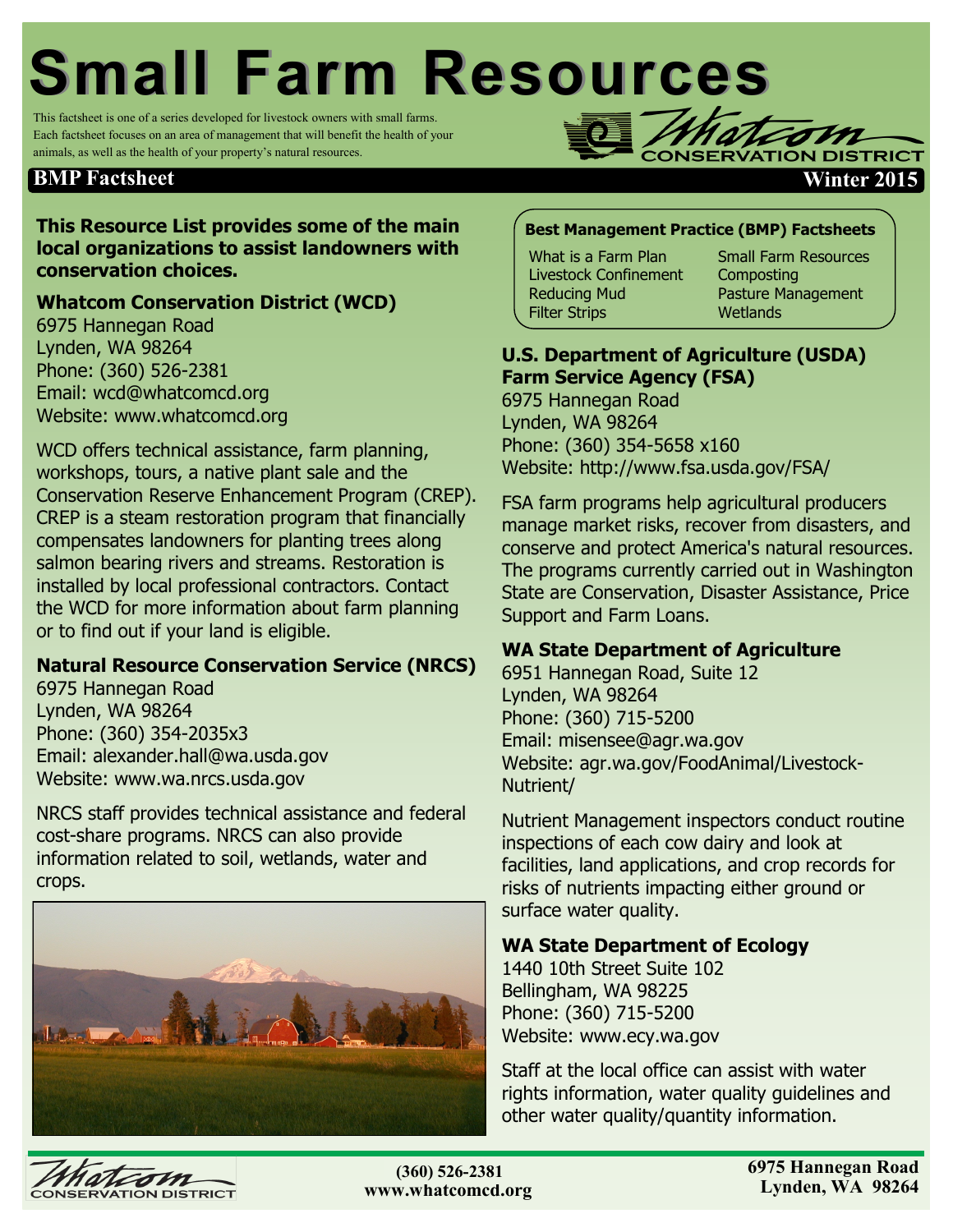# **Small Farm Resources**

This factsheet is one of a series developed for livestock owners with small farms. Each factsheet focuses on an area of management that will benefit the health of your animals, as well as the health of your property's natural resources.

## **BMP Factsheet Winter 2015**

## **This Resource List provides some of the main local organizations to assist landowners with conservation choices.**

## **Whatcom Conservation District (WCD)**

6975 Hannegan Road Lynden, WA 98264 Phone: (360) 526-2381 Email: wcd@whatcomcd.org Website: www.whatcomcd.org

WCD offers technical assistance, farm planning, workshops, tours, a native plant sale and the Conservation Reserve Enhancement Program (CREP). CREP is a steam restoration program that financially compensates landowners for planting trees along salmon bearing rivers and streams. Restoration is installed by local professional contractors. Contact the WCD for more information about farm planning or to find out if your land is eligible.

## **Natural Resource Conservation Service (NRCS)**

6975 Hannegan Road Lynden, WA 98264 Phone: (360) 354-2035x3 Email: alexander.hall@wa.usda.gov Website: www.wa.nrcs.usda.gov

NRCS staff provides technical assistance and federal cost-share programs. NRCS can also provide information related to soil, wetlands, water and crops.



## **Best Management Practice (BMP) Factsheets**

What is a Farm Plan Livestock Confinement Reducing Mud Filter Strips

Small Farm Resources **Composting** Pasture Management Wetlands

**DISTRIC** 

## **U.S. Department of Agriculture (USDA) Farm Service Agency (FSA)**

6975 Hannegan Road Lynden, WA 98264 Phone: (360) 354-5658 x160 Website: http://www.fsa.usda.gov/FSA/

FSA farm programs help agricultural producers manage market risks, recover from disasters, and conserve and protect America's natural resources. The programs currently carried out in Washington State are Conservation, Disaster Assistance, Price Support and Farm Loans.

#### **WA State Department of Agriculture**

6951 Hannegan Road, Suite 12 Lynden, WA 98264 Phone: (360) 715-5200 Email: misensee@agr.wa.gov Website: agr.wa.gov/FoodAnimal/Livestock-Nutrient/

Nutrient Management inspectors conduct routine inspections of each cow dairy and look at facilities, land applications, and crop records for risks of nutrients impacting either ground or surface water quality.

#### **WA State Department of Ecology**

1440 10th Street Suite 102 Bellingham, WA 98225 Phone: (360) 715-5200 Website: www.ecy.wa.gov

Staff at the local office can assist with water rights information, water quality guidelines and other water quality/quantity information.



**(360)354-2035 (360) 526-2381www.whatcomcd.org**